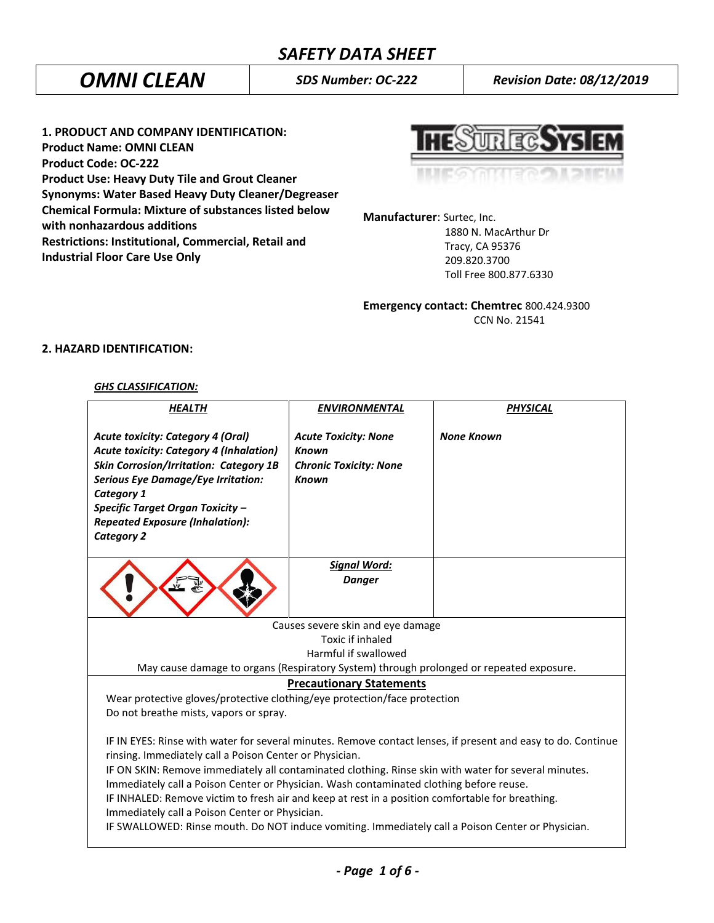*OMNI CLEAN SDS Number: OC-222 Revision Date: 08/12/2019*

**1. PRODUCT AND COMPANY IDENTIFICATION: Product Name: OMNI CLEAN Product Code: OC-222 Product Use: Heavy Duty Tile and Grout Cleaner Synonyms: Water Based Heavy Duty Cleaner/Degreaser Chemical Formula: Mixture of substances listed below with nonhazardous additions Restrictions: Institutional, Commercial, Retail and Industrial Floor Care Use Only**

**TRECAYS** 

**Manufacturer**: Surtec, Inc.

 1880 N. MacArthur Dr Tracy, CA 95376 209.820.3700 Toll Free 800.877.6330

**Emergency contact: Chemtrec** 800.424.9300 CCN No. 21541

# **2. HAZARD IDENTIFICATION:**

## *GHS CLASSIFICATION:*

| <b>HEALTH</b>                                                                                                                                                                                                                                                                                                                                                                                                                                                                                                                                                                                                                         | <b>ENVIRONMENTAL</b>                                                                         | <b>PHYSICAL</b>   |  |
|---------------------------------------------------------------------------------------------------------------------------------------------------------------------------------------------------------------------------------------------------------------------------------------------------------------------------------------------------------------------------------------------------------------------------------------------------------------------------------------------------------------------------------------------------------------------------------------------------------------------------------------|----------------------------------------------------------------------------------------------|-------------------|--|
| <b>Acute toxicity: Category 4 (Oral)</b><br><b>Acute toxicity: Category 4 (Inhalation)</b><br><b>Skin Corrosion/Irritation: Category 1B</b><br><b>Serious Eye Damage/Eye Irritation:</b><br>Category 1<br>Specific Target Organ Toxicity -<br><b>Repeated Exposure (Inhalation):</b><br><b>Category 2</b>                                                                                                                                                                                                                                                                                                                             | <b>Acute Toxicity: None</b><br><b>Known</b><br><b>Chronic Toxicity: None</b><br><b>Known</b> | <b>None Known</b> |  |
|                                                                                                                                                                                                                                                                                                                                                                                                                                                                                                                                                                                                                                       | <b>Signal Word:</b>                                                                          |                   |  |
|                                                                                                                                                                                                                                                                                                                                                                                                                                                                                                                                                                                                                                       | <b>Danger</b>                                                                                |                   |  |
|                                                                                                                                                                                                                                                                                                                                                                                                                                                                                                                                                                                                                                       | Causes severe skin and eye damage                                                            |                   |  |
| Toxic if inhaled                                                                                                                                                                                                                                                                                                                                                                                                                                                                                                                                                                                                                      |                                                                                              |                   |  |
| Harmful if swallowed                                                                                                                                                                                                                                                                                                                                                                                                                                                                                                                                                                                                                  |                                                                                              |                   |  |
| May cause damage to organs (Respiratory System) through prolonged or repeated exposure.                                                                                                                                                                                                                                                                                                                                                                                                                                                                                                                                               |                                                                                              |                   |  |
| <b>Precautionary Statements</b>                                                                                                                                                                                                                                                                                                                                                                                                                                                                                                                                                                                                       |                                                                                              |                   |  |
| Wear protective gloves/protective clothing/eye protection/face protection                                                                                                                                                                                                                                                                                                                                                                                                                                                                                                                                                             |                                                                                              |                   |  |
| Do not breathe mists, vapors or spray.                                                                                                                                                                                                                                                                                                                                                                                                                                                                                                                                                                                                |                                                                                              |                   |  |
| IF IN EYES: Rinse with water for several minutes. Remove contact lenses, if present and easy to do. Continue<br>rinsing. Immediately call a Poison Center or Physician.<br>IF ON SKIN: Remove immediately all contaminated clothing. Rinse skin with water for several minutes.<br>Immediately call a Poison Center or Physician. Wash contaminated clothing before reuse.<br>IF INHALED: Remove victim to fresh air and keep at rest in a position comfortable for breathing.<br>Immediately call a Poison Center or Physician.<br>IF SWALLOWED: Rinse mouth. Do NOT induce vomiting. Immediately call a Poison Center or Physician. |                                                                                              |                   |  |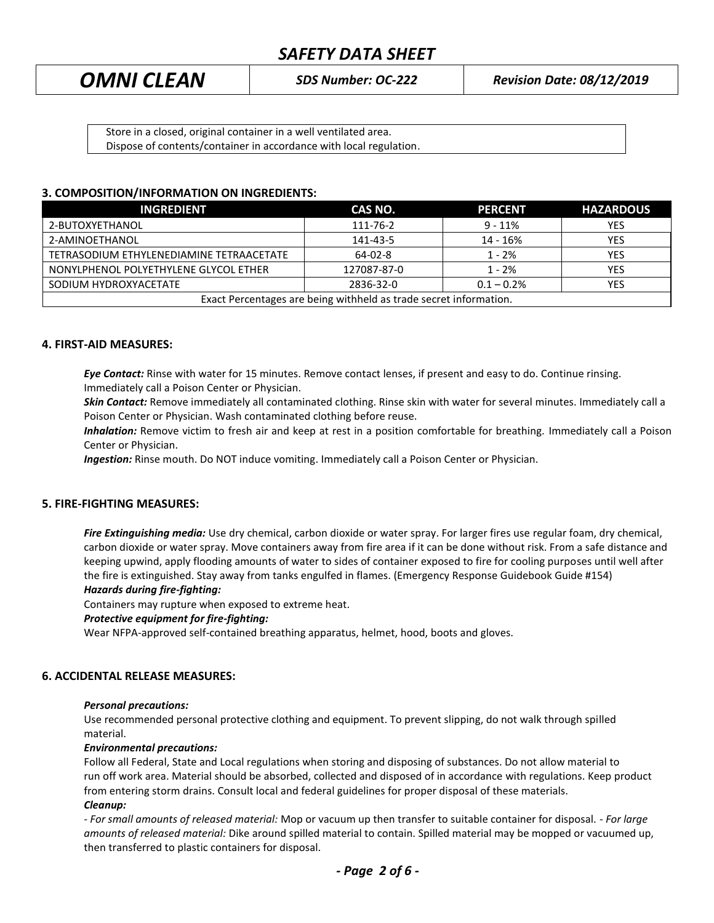*OMNI CLEAN SDS Number: OC-222 Revision Date: 08/12/2019*

Store in a closed, original container in a well ventilated area. Dispose of contents/container in accordance with local regulation.

# **3. COMPOSITION/INFORMATION ON INGREDIENTS:**

| <b>INGREDIENT</b>                                                 | CAS NO.     | <b>PERCENT</b> | <b>HAZARDOUS</b> |
|-------------------------------------------------------------------|-------------|----------------|------------------|
| 2-BUTOXYETHANOL                                                   | 111-76-2    | $9 - 11%$      | <b>YES</b>       |
| 2-AMINOETHANOL                                                    | 141-43-5    | 14 - 16%       | <b>YES</b>       |
| TETRASODIUM ETHYLENEDIAMINE TETRAACETATE                          | 64-02-8     | $1 - 2%$       | <b>YES</b>       |
| NONYLPHENOL POLYETHYLENE GLYCOL ETHER                             | 127087-87-0 | $1 - 2%$       | YES              |
| SODIUM HYDROXYACETATE                                             | 2836-32-0   | $0.1 - 0.2%$   | <b>YES</b>       |
| Exact Percentages are being withheld as trade secret information. |             |                |                  |

## **4. FIRST-AID MEASURES:**

*Eye Contact:* Rinse with water for 15 minutes. Remove contact lenses, if present and easy to do. Continue rinsing. Immediately call a Poison Center or Physician.

*Skin Contact:* Remove immediately all contaminated clothing. Rinse skin with water for several minutes. Immediately call a Poison Center or Physician. Wash contaminated clothing before reuse.

 *Inhalation:* Remove victim to fresh air and keep at rest in a position comfortable for breathing. Immediately call a Poison Center or Physician.

*Ingestion:* Rinse mouth. Do NOT induce vomiting. Immediately call a Poison Center or Physician.

# **5. FIRE-FIGHTING MEASURES:**

*Fire Extinguishing media:* Use dry chemical, carbon dioxide or water spray. For larger fires use regular foam, dry chemical, carbon dioxide or water spray. Move containers away from fire area if it can be done without risk. From a safe distance and keeping upwind, apply flooding amounts of water to sides of container exposed to fire for cooling purposes until well after the fire is extinguished. Stay away from tanks engulfed in flames. (Emergency Response Guidebook Guide #154)

#### *Hazards during fire-fighting:*

Containers may rupture when exposed to extreme heat.

#### *Protective equipment for fire-fighting:*

Wear NFPA-approved self-contained breathing apparatus, helmet, hood, boots and gloves.

#### **6. ACCIDENTAL RELEASE MEASURES:**

#### *Personal precautions:*

Use recommended personal protective clothing and equipment. To prevent slipping, do not walk through spilled material.

#### *Environmental precautions:*

Follow all Federal, State and Local regulations when storing and disposing of substances. Do not allow material to run off work area. Material should be absorbed, collected and disposed of in accordance with regulations. Keep product from entering storm drains. Consult local and federal guidelines for proper disposal of these materials. *Cleanup:*

*- For small amounts of released material:* Mop or vacuum up then transfer to suitable container for disposal. - *For large amounts of released material:* Dike around spilled material to contain. Spilled material may be mopped or vacuumed up, then transferred to plastic containers for disposal.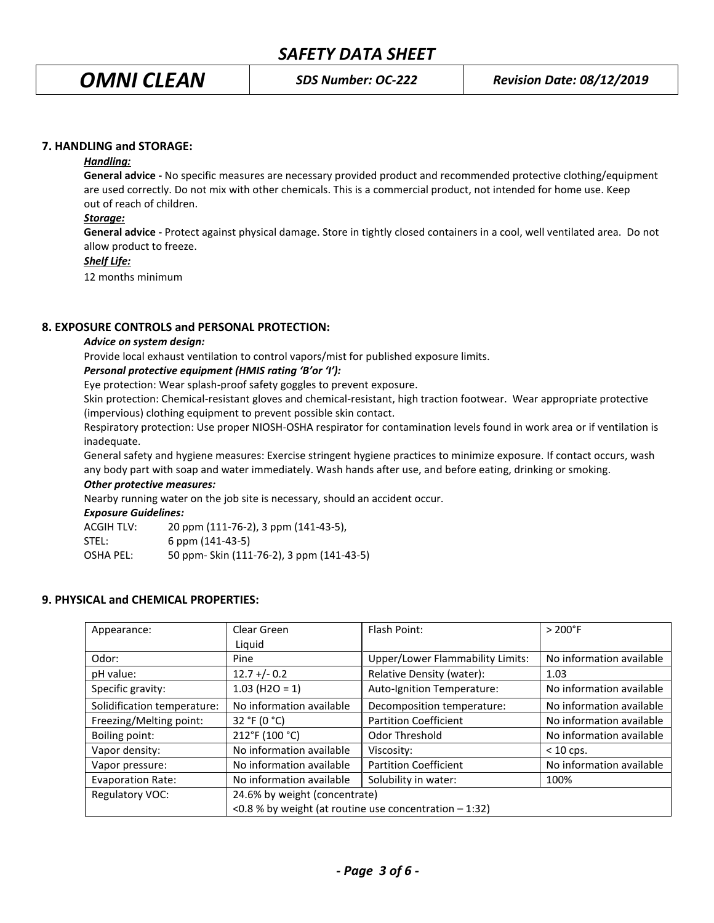## **7. HANDLING and STORAGE:**

#### *Handling:*

**General advice -** No specific measures are necessary provided product and recommended protective clothing/equipment are used correctly. Do not mix with other chemicals. This is a commercial product, not intended for home use. Keep out of reach of children.

# *Storage:*

**General advice -** Protect against physical damage. Store in tightly closed containers in a cool, well ventilated area. Do not allow product to freeze.

## *Shelf Life:*

12 months minimum

# **8. EXPOSURE CONTROLS and PERSONAL PROTECTION:**

## *Advice on system design:*

Provide local exhaust ventilation to control vapors/mist for published exposure limits.

# *Personal protective equipment (HMIS rating 'B'or 'I'):*

Eye protection: Wear splash-proof safety goggles to prevent exposure.

Skin protection: Chemical-resistant gloves and chemical-resistant, high traction footwear. Wear appropriate protective (impervious) clothing equipment to prevent possible skin contact.

Respiratory protection: Use proper NIOSH-OSHA respirator for contamination levels found in work area or if ventilation is inadequate.

General safety and hygiene measures: Exercise stringent hygiene practices to minimize exposure. If contact occurs, wash any body part with soap and water immediately. Wash hands after use, and before eating, drinking or smoking.

# *Other protective measures:*

Nearby running water on the job site is necessary, should an accident occur.

#### *Exposure Guidelines:*

| <b>ACGIH TLV:</b> | 20 ppm (111-76-2), 3 ppm (141-43-5),      |
|-------------------|-------------------------------------------|
| STEL:             | $6$ ppm $(141-43-5)$                      |
| OSHA PEL:         | 50 ppm- Skin (111-76-2), 3 ppm (141-43-5) |

# **9. PHYSICAL and CHEMICAL PROPERTIES:**

| Appearance:                 | Clear Green                                            | Flash Point:                     | $> 200°$ F               |
|-----------------------------|--------------------------------------------------------|----------------------------------|--------------------------|
|                             | Liguid                                                 |                                  |                          |
| Odor:                       | Pine                                                   | Upper/Lower Flammability Limits: | No information available |
| pH value:                   | $12.7 + (-0.2)$                                        | Relative Density (water):        | 1.03                     |
| Specific gravity:           | $1.03$ (H2O = 1)                                       | Auto-Ignition Temperature:       | No information available |
| Solidification temperature: | No information available                               | Decomposition temperature:       | No information available |
| Freezing/Melting point:     | 32 °F (0 °C)                                           | <b>Partition Coefficient</b>     | No information available |
| Boiling point:              | 212°F (100 °C)                                         | Odor Threshold                   | No information available |
| Vapor density:              | No information available                               | Viscosity:                       | $< 10$ cps.              |
| Vapor pressure:             | No information available                               | <b>Partition Coefficient</b>     | No information available |
| <b>Evaporation Rate:</b>    | No information available                               | Solubility in water:             | 100%                     |
| Regulatory VOC:             | 24.6% by weight (concentrate)                          |                                  |                          |
|                             | <0.8 % by weight (at routine use concentration - 1:32) |                                  |                          |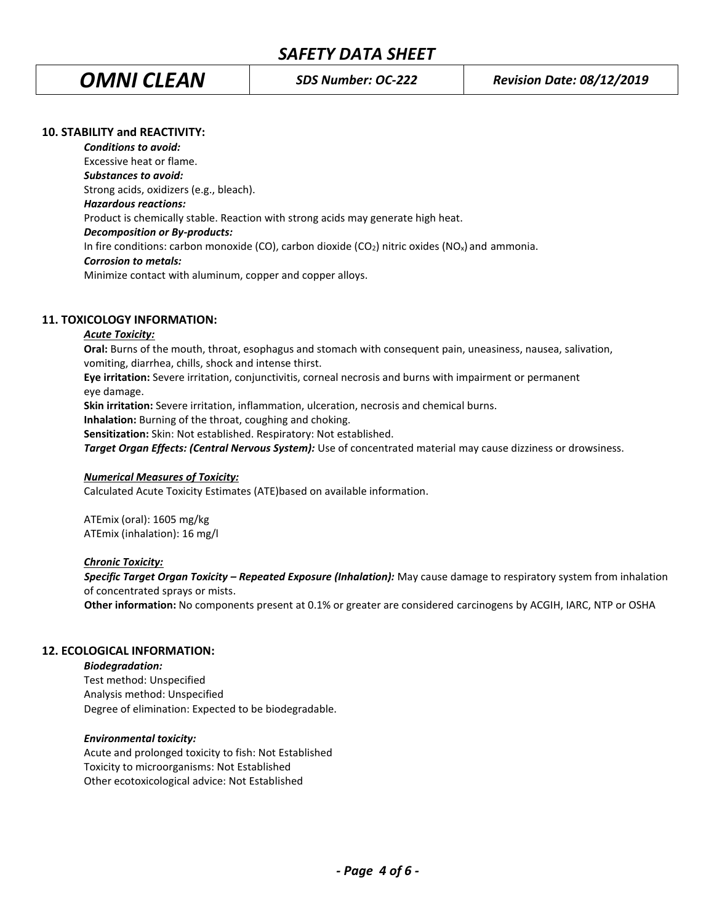# **10. STABILITY and REACTIVITY:**

*Conditions to avoid:* Excessive heat or flame. *Substances to avoid:* Strong acids, oxidizers (e.g., bleach). *Hazardous reactions:* Product is chemically stable. Reaction with strong acids may generate high heat. *Decomposition or By-products:* In fire conditions: carbon monoxide (CO), carbon dioxide (CO<sub>2</sub>) nitric oxides (NO<sub>x</sub>) and ammonia. *Corrosion to metals:* Minimize contact with aluminum, copper and copper alloys.

# **11. TOXICOLOGY INFORMATION:**

## *Acute Toxicity:*

**Oral:** Burns of the mouth, throat, esophagus and stomach with consequent pain, uneasiness, nausea, salivation, vomiting, diarrhea, chills, shock and intense thirst.

**Eye irritation:** Severe irritation, conjunctivitis, corneal necrosis and burns with impairment or permanent eye damage.

**Skin irritation:** Severe irritation, inflammation, ulceration, necrosis and chemical burns.

**Inhalation:** Burning of the throat, coughing and choking.

**Sensitization:** Skin: Not established. Respiratory: Not established.

**Target Organ Effects: (Central Nervous System):** Use of concentrated material may cause dizziness or drowsiness.

#### *Numerical Measures of Toxicity:*

Calculated Acute Toxicity Estimates (ATE)based on available information.

ATEmix (oral): 1605 mg/kg ATEmix (inhalation): 16 mg/l

#### *Chronic Toxicity:*

 *Specific Target Organ Toxicity – Repeated Exposure (Inhalation):* May cause damage to respiratory system from inhalation of concentrated sprays or mists.

 **Other information:** No components present at 0.1% or greater are considered carcinogens by ACGIH, IARC, NTP or OSHA

# **12. ECOLOGICAL INFORMATION:**

*Biodegradation:* Test method: Unspecified Analysis method: Unspecified Degree of elimination: Expected to be biodegradable.

# *Environmental toxicity:*

Acute and prolonged toxicity to fish: Not Established Toxicity to microorganisms: Not Established Other ecotoxicological advice: Not Established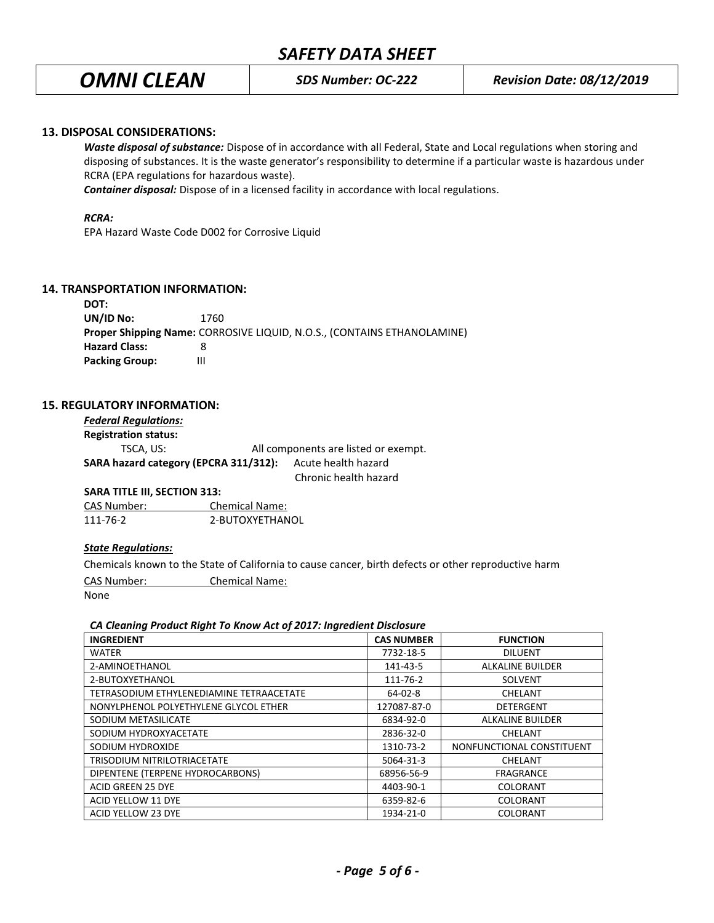# **13. DISPOSAL CONSIDERATIONS:**

*Waste disposal of substance:* Dispose of in accordance with all Federal, State and Local regulations when storing and disposing of substances. It is the waste generator's responsibility to determine if a particular waste is hazardous under RCRA (EPA regulations for hazardous waste).

*Container disposal:* Dispose of in a licensed facility in accordance with local regulations.

#### *RCRA:*

EPA Hazard Waste Code D002 for Corrosive Liquid

## **14. TRANSPORTATION INFORMATION:**

| DOT:                  |                                                                                |  |
|-----------------------|--------------------------------------------------------------------------------|--|
| UN/ID No:             | 1760                                                                           |  |
|                       | <b>Proper Shipping Name: CORROSIVE LIQUID, N.O.S., (CONTAINS ETHANOLAMINE)</b> |  |
| <b>Hazard Class:</b>  |                                                                                |  |
| <b>Packing Group:</b> | Ш                                                                              |  |

#### **15. REGULATORY INFORMATION:**

| <b>Federal Regulations:</b>           |  |                                      |
|---------------------------------------|--|--------------------------------------|
| <b>Registration status:</b>           |  |                                      |
| TSCA. US:                             |  | All components are listed or exempt. |
| SARA hazard category (EPCRA 311/312): |  | Acute health hazard                  |
|                                       |  | Chronic health hazard                |

**SARA TITLE III, SECTION 313:**

CAS Number: Chemical Name: 111-76-2 2-BUTOXYETHANOL

#### *State Regulations:*

Chemicals known to the State of California to cause cancer, birth defects or other reproductive harm CAS Number: Chemical Name:

None

# *CA Cleaning Product Right To Know Act of 2017: Ingredient Disclosure*

| <b>INGREDIENT</b>                        | <b>CAS NUMBER</b> | <b>FUNCTION</b>           |
|------------------------------------------|-------------------|---------------------------|
| <b>WATER</b>                             | 7732-18-5         | <b>DILUENT</b>            |
| 2-AMINOETHANOL                           | 141-43-5          | <b>ALKALINE BUILDER</b>   |
| 2-BUTOXYETHANOL                          | 111-76-2          | SOLVENT                   |
| TETRASODIUM ETHYLENEDIAMINE TETRAACETATE | 64-02-8           | CHELANT                   |
| NONYLPHENOL POLYETHYLENE GLYCOL ETHER    | 127087-87-0       | <b>DETERGENT</b>          |
| SODIUM METASILICATE                      | 6834-92-0         | <b>ALKALINE BUILDER</b>   |
| SODIUM HYDROXYACETATE                    | 2836-32-0         | CHELANT                   |
| SODIUM HYDROXIDE                         | 1310-73-2         | NONFUNCTIONAL CONSTITUENT |
| TRISODIUM NITRILOTRIACETATE              | 5064-31-3         | CHELANT                   |
| DIPENTENE (TERPENE HYDROCARBONS)         | 68956-56-9        | <b>FRAGRANCE</b>          |
| <b>ACID GREEN 25 DYE</b>                 | 4403-90-1         | <b>COLORANT</b>           |
| ACID YELLOW 11 DYE                       | 6359-82-6         | COLORANT                  |
| ACID YELLOW 23 DYE                       | 1934-21-0         | <b>COLORANT</b>           |